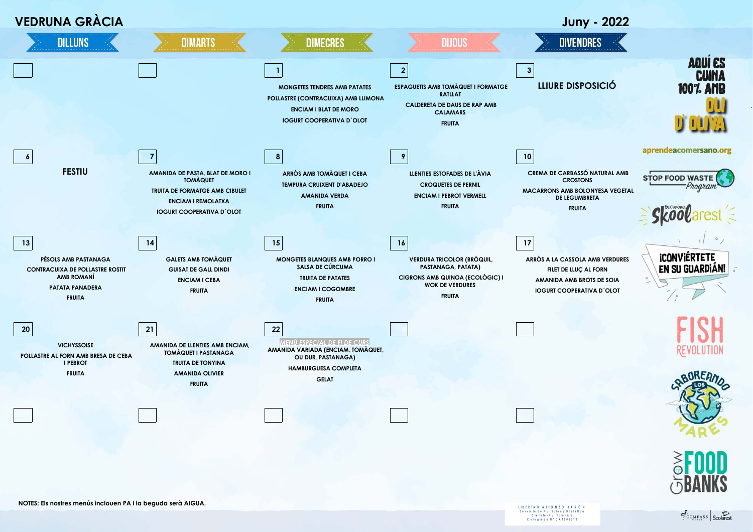